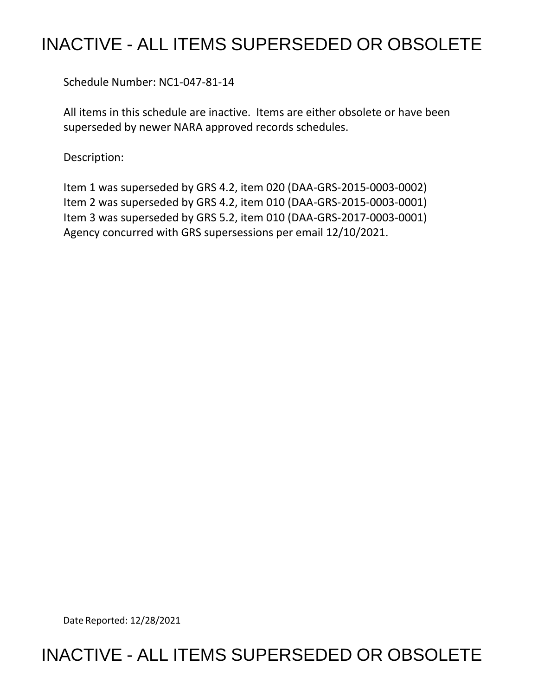## INACTIVE - ALL ITEMS SUPERSEDED OR OBSOLETE

Schedule Number: NC1-047-81-14

 All items in this schedule are inactive. Items are either obsolete or have been superseded by newer NARA approved records schedules.

Description:

 Item 1 was superseded by GRS 4.2, item 020 (DAA-GRS-2015-0003-0002) Item 2 was superseded by GRS 4.2, item 010 (DAA-GRS-2015-0003-0001) Item 3 was superseded by GRS 5.2, item 010 (DAA-GRS-2017-0003-0001) Agency concurred with GRS supersessions per email 12/10/2021.

Date Reported: 12/28/2021

## INACTIVE - ALL ITEMS SUPERSEDED OR OBSOLETE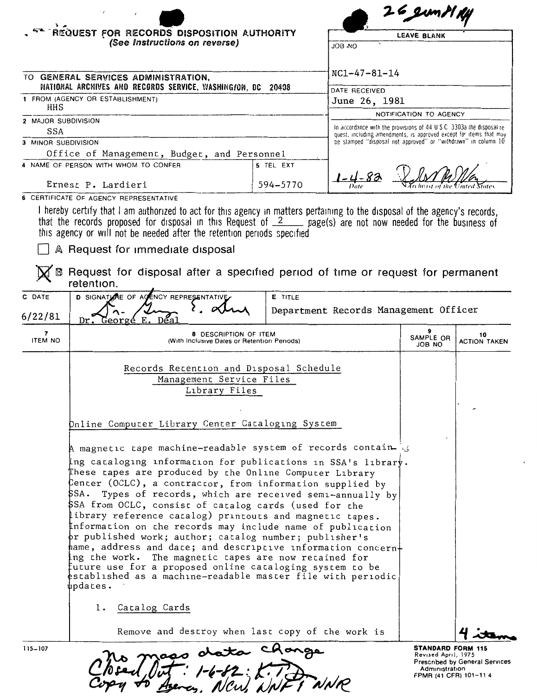|                                                                                                 |                                                                                                                                                                                                                                                                                                                                                                                                                                                                                                                                                                                                                                                                                                             |                                                                                                                                             |                                | $26$ JUMIT TY                                                  |                           |  |
|-------------------------------------------------------------------------------------------------|-------------------------------------------------------------------------------------------------------------------------------------------------------------------------------------------------------------------------------------------------------------------------------------------------------------------------------------------------------------------------------------------------------------------------------------------------------------------------------------------------------------------------------------------------------------------------------------------------------------------------------------------------------------------------------------------------------------|---------------------------------------------------------------------------------------------------------------------------------------------|--------------------------------|----------------------------------------------------------------|---------------------------|--|
|                                                                                                 | REQUEST FOR RECORDS DISPOSITION AUTHORITY                                                                                                                                                                                                                                                                                                                                                                                                                                                                                                                                                                                                                                                                   |                                                                                                                                             |                                | LEAVE BLANK                                                    |                           |  |
|                                                                                                 | (See Instructions on reverse)                                                                                                                                                                                                                                                                                                                                                                                                                                                                                                                                                                                                                                                                               | OA BOL                                                                                                                                      |                                |                                                                |                           |  |
|                                                                                                 |                                                                                                                                                                                                                                                                                                                                                                                                                                                                                                                                                                                                                                                                                                             |                                                                                                                                             |                                |                                                                |                           |  |
|                                                                                                 | TO GENERAL SERVICES ADMINISTRATION,                                                                                                                                                                                                                                                                                                                                                                                                                                                                                                                                                                                                                                                                         | $NC1 - 47 - 81 - 14$                                                                                                                        |                                |                                                                |                           |  |
| NATIONAL ARCHIVES AND RECORDS SERVICE, WASHINGION, DC 20408<br>1 FROM (AGENCY OR ESTABLISHMENT) |                                                                                                                                                                                                                                                                                                                                                                                                                                                                                                                                                                                                                                                                                                             |                                                                                                                                             | DATE RECEIVED<br>June 26, 1981 |                                                                |                           |  |
| HHS                                                                                             |                                                                                                                                                                                                                                                                                                                                                                                                                                                                                                                                                                                                                                                                                                             | NOTIFICATION TO AGENCY                                                                                                                      |                                |                                                                |                           |  |
| 2 MAJOR SUBDIVISION<br><b>SSA</b>                                                               |                                                                                                                                                                                                                                                                                                                                                                                                                                                                                                                                                                                                                                                                                                             | In accordance with the provisions of 44 U.S.C. 3303a the disposal re-<br>quest, including amendments, is approved except for items that may |                                |                                                                |                           |  |
| 3 MINOR SUBDIVISION                                                                             |                                                                                                                                                                                                                                                                                                                                                                                                                                                                                                                                                                                                                                                                                                             |                                                                                                                                             |                                | be stamped "disposal not approved" or "withdrawn" in column 10 |                           |  |
|                                                                                                 | Office of Management, Budget, and Personnel                                                                                                                                                                                                                                                                                                                                                                                                                                                                                                                                                                                                                                                                 |                                                                                                                                             |                                |                                                                |                           |  |
|                                                                                                 | 4 NAME OF PERSON WITH WHOM TO CONFER                                                                                                                                                                                                                                                                                                                                                                                                                                                                                                                                                                                                                                                                        | 5 TEL EXT                                                                                                                                   |                                |                                                                |                           |  |
|                                                                                                 | Ernest P. Lardieri                                                                                                                                                                                                                                                                                                                                                                                                                                                                                                                                                                                                                                                                                          | 594-5770                                                                                                                                    |                                |                                                                |                           |  |
|                                                                                                 | 6 CERTIFICATE OF AGENCY REPRESENTATIVE                                                                                                                                                                                                                                                                                                                                                                                                                                                                                                                                                                                                                                                                      |                                                                                                                                             |                                |                                                                |                           |  |
|                                                                                                 | I hereby certify that I am authorized to act for this agency in matters pertaining to the disposal of the agency's records,<br>that the records proposed for disposal in this Request of $2$ page(s) are not now needed for the business of<br>this agency or will not be needed after the retention periods specified                                                                                                                                                                                                                                                                                                                                                                                      |                                                                                                                                             |                                |                                                                |                           |  |
|                                                                                                 | A Request for immediate disposal                                                                                                                                                                                                                                                                                                                                                                                                                                                                                                                                                                                                                                                                            |                                                                                                                                             |                                |                                                                |                           |  |
|                                                                                                 | Request for disposal after a specified period of time or request for permanent<br>retention.                                                                                                                                                                                                                                                                                                                                                                                                                                                                                                                                                                                                                |                                                                                                                                             |                                |                                                                |                           |  |
|                                                                                                 |                                                                                                                                                                                                                                                                                                                                                                                                                                                                                                                                                                                                                                                                                                             |                                                                                                                                             |                                |                                                                |                           |  |
| C DATE                                                                                          | D SIGNATURE OF ACENCY REPRESENTATIVE                                                                                                                                                                                                                                                                                                                                                                                                                                                                                                                                                                                                                                                                        | E TITLE                                                                                                                                     |                                |                                                                |                           |  |
| 6/22/81                                                                                         | George E.<br>Dr.<br>Dĕa                                                                                                                                                                                                                                                                                                                                                                                                                                                                                                                                                                                                                                                                                     |                                                                                                                                             |                                | Department Records Management Officer                          |                           |  |
| 7<br><b>ITEM NO</b>                                                                             | 8 DESCRIPTION OF ITEM<br>(With Inclusive Dates or Retention Periods)                                                                                                                                                                                                                                                                                                                                                                                                                                                                                                                                                                                                                                        |                                                                                                                                             |                                | 9<br>SAMPLE OR<br>JOB NO                                       | 10<br><b>ACTION TAKEN</b> |  |
|                                                                                                 |                                                                                                                                                                                                                                                                                                                                                                                                                                                                                                                                                                                                                                                                                                             |                                                                                                                                             |                                |                                                                |                           |  |
|                                                                                                 | Records Retention and Disposal Schedule<br>Management Service Files                                                                                                                                                                                                                                                                                                                                                                                                                                                                                                                                                                                                                                         |                                                                                                                                             |                                |                                                                |                           |  |
|                                                                                                 | Library Files                                                                                                                                                                                                                                                                                                                                                                                                                                                                                                                                                                                                                                                                                               |                                                                                                                                             |                                |                                                                |                           |  |
|                                                                                                 |                                                                                                                                                                                                                                                                                                                                                                                                                                                                                                                                                                                                                                                                                                             |                                                                                                                                             |                                |                                                                |                           |  |
|                                                                                                 | Online Computer Library Center Cataloging System                                                                                                                                                                                                                                                                                                                                                                                                                                                                                                                                                                                                                                                            |                                                                                                                                             |                                |                                                                |                           |  |
|                                                                                                 |                                                                                                                                                                                                                                                                                                                                                                                                                                                                                                                                                                                                                                                                                                             |                                                                                                                                             |                                |                                                                |                           |  |
|                                                                                                 | A magnetic tape machine-readable system of records contain 3                                                                                                                                                                                                                                                                                                                                                                                                                                                                                                                                                                                                                                                |                                                                                                                                             |                                |                                                                |                           |  |
|                                                                                                 | ing cataloging information for publications in SSA's library.<br>These tapes are produced by the Online Computer Library<br>$\,\beta$ enter (OCLC), a contractor, from information supplied by<br>\$SA. Types of records, which are received semi-annually by<br>\$SA from OCLC, consist of catalog cards (used for the<br>ibrary reference catalog) printouts and magnetic tapes.<br>Information on the records may include name of publication<br>pr published work; author; catalog number; publisher's<br>${\tt name}$ , address and dace; and descriptive information concern $+$<br>ing the work. The magnetic tapes are now retained for<br>future use for a proposed online cataloging system to be |                                                                                                                                             |                                |                                                                |                           |  |
|                                                                                                 | established as a machine-readable master file with periodic<br>updates.<br>1. Catalog Cards                                                                                                                                                                                                                                                                                                                                                                                                                                                                                                                                                                                                                 |                                                                                                                                             |                                |                                                                |                           |  |
|                                                                                                 | Remove and destroy when last copy of the work is                                                                                                                                                                                                                                                                                                                                                                                                                                                                                                                                                                                                                                                            |                                                                                                                                             |                                |                                                                |                           |  |

| 115–107 | $\boldsymbol{\eta}$<br>maso | استعاد<br>ata     | <b>STANDARD FORM 115</b><br>Revised April, 1975 |
|---------|-----------------------------|-------------------|-------------------------------------------------|
|         |                             |                   | Prescribed by General S                         |
|         | $\iint$<br>pced             | $1 - 6 - 62 : 17$ | Administration<br><b>COMPLIA CEDIMOS 44</b>     |

Revised April, 1975 Prescribed by General Services Administration FPMR (41 CFR) 101-11 4